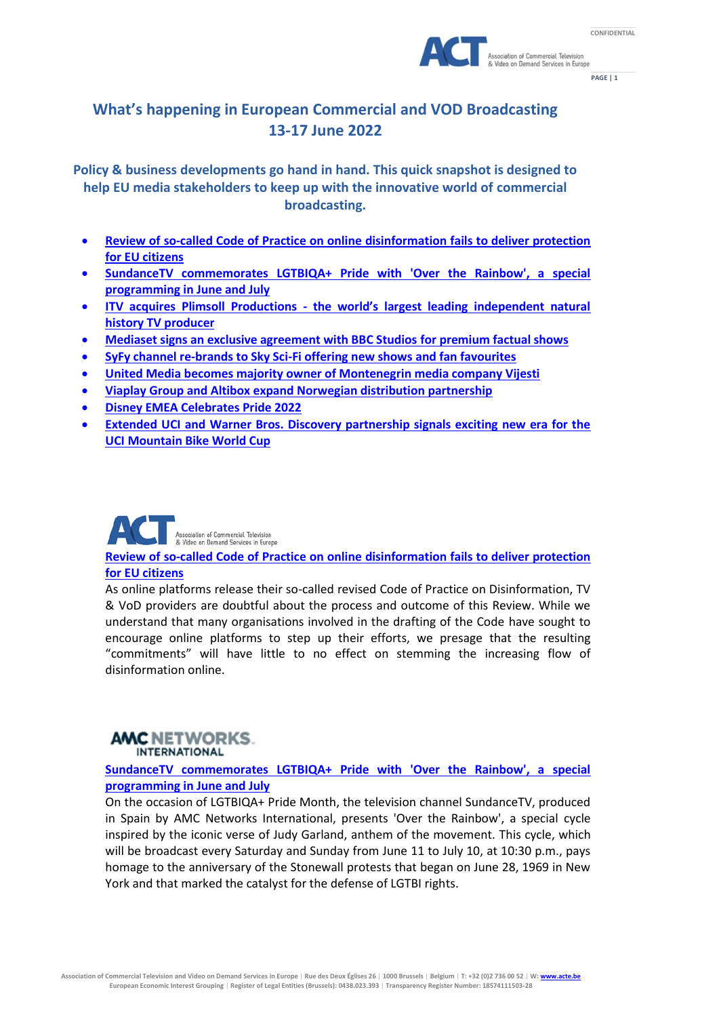



**PAGE | 1**

## **What's happening in European Commercial and VOD Broadcasting 13-17 June 2022**

**Policy & business developments go hand in hand. This quick snapshot is designed to help EU media stakeholders to keep up with the innovative world of commercial broadcasting.**

- **[Review of so-called Code of Practice on online disinformation fails to deliver protection](https://www.acte.be/publication/review-of-so-called-code-of-practice-on-online-disinformation-fails-to-deliver-protection-for-eu-citizens/)  [for EU citizens](https://www.acte.be/publication/review-of-so-called-code-of-practice-on-online-disinformation-fails-to-deliver-protection-for-eu-citizens/)**
- **[SundanceTV commemorates LGTBIQA+ Pride with 'Over the Rainbow', a special](https://amcnetworks.es/noticias/sundance-channel/sundancetv-conmemora-el-orgullo-lgtbiqa-con-over-the-rainbow-una-programacion-especial-en-junio-y-julio/)  [programming in](https://amcnetworks.es/noticias/sundance-channel/sundancetv-conmemora-el-orgullo-lgtbiqa-con-over-the-rainbow-una-programacion-especial-en-junio-y-julio/) June and July**
- **ITV acquires Plimsoll Productions - [the world's largest leading independent natural](https://www.itv.com/presscentre/press-releases/itv-acquires-plimsoll-productions-worlds-largest-leading-independent-natural-history)  [history TV producer](https://www.itv.com/presscentre/press-releases/itv-acquires-plimsoll-productions-worlds-largest-leading-independent-natural-history)**
- **[Mediaset signs an exclusive agreement with BBC Studios for premium factual shows](https://www.tgcom24.mediaset.it/televisione/mediaset-sigla-un-accordo-esclusivo-con-bbc-studios-acquisiti-25-documentari-top-si-parte-con-dynasties-ii_51377478-202202k.shtml)**
- **[SyFy channel re-brands to Sky Sci-Fi offering new shows and fan favourites](https://www.skygroup.sky/en-gb/article/syfy-channel-re-brands-to-sky-sci-fi-offering-new-shows-and-fan-favourites)**
- **[United Media becomes majority owner of Montenegrin media company Vijesti](http://www.unitedmedia.net/united-media-becomes-majority-owner-of-montenegrin-media-company-vijesti/)**
- **[Viaplay Group and Altibox expand Norwegian distribution partnership](https://www.viaplaygroup.com/news/news-releases/viaplay-group-and-altibox-expand-norwegian-distribution-partnership-2027418)**
- **[Disney EMEA Celebrates Pride 2022](https://thewaltdisneycompany.eu/disney-emea-celebrates-pride-2022/)**
- **[Extended UCI and Warner Bros. Discovery partnership signals exciting new era for the](https://media.discoverysports.com/post/extended-uci-and-warner-bros-discovery-partnership-signals-excit)  [UCI Mountain Bike World Cup](https://media.discoverysports.com/post/extended-uci-and-warner-bros-discovery-partnership-signals-excit)**



**[Review of so-called Code of Practice on online disinformation fails to deliver protection](https://www.acte.be/publication/review-of-so-called-code-of-practice-on-online-disinformation-fails-to-deliver-protection-for-eu-citizens/)  [for EU citizens](https://www.acte.be/publication/review-of-so-called-code-of-practice-on-online-disinformation-fails-to-deliver-protection-for-eu-citizens/)**

As online platforms release their so-called revised Code of Practice on Disinformation, TV & VoD providers are doubtful about the process and outcome of this Review. While we understand that many organisations involved in the drafting of the Code have sought to encourage online platforms to step up their efforts, we presage that the resulting "commitments" will have little to no effect on stemming the increasing flow of disinformation online.

### **AMC NETWORKS. INTERNATIONAL**

**[SundanceTV commemorates LGTBIQA+ Pride with 'Over the Rainbow', a special](https://amcnetworks.es/noticias/sundance-channel/sundancetv-conmemora-el-orgullo-lgtbiqa-con-over-the-rainbow-una-programacion-especial-en-junio-y-julio/)  [programming in](https://amcnetworks.es/noticias/sundance-channel/sundancetv-conmemora-el-orgullo-lgtbiqa-con-over-the-rainbow-una-programacion-especial-en-junio-y-julio/) June and July**

On the occasion of LGTBIQA+ Pride Month, the television channel SundanceTV, produced in Spain by AMC Networks International, presents 'Over the Rainbow', a special cycle inspired by the iconic verse of Judy Garland, anthem of the movement. This cycle, which will be broadcast every Saturday and Sunday from June 11 to July 10, at 10:30 p.m., pays homage to the anniversary of the Stonewall protests that began on June 28, 1969 in New York and that marked the catalyst for the defense of LGTBI rights.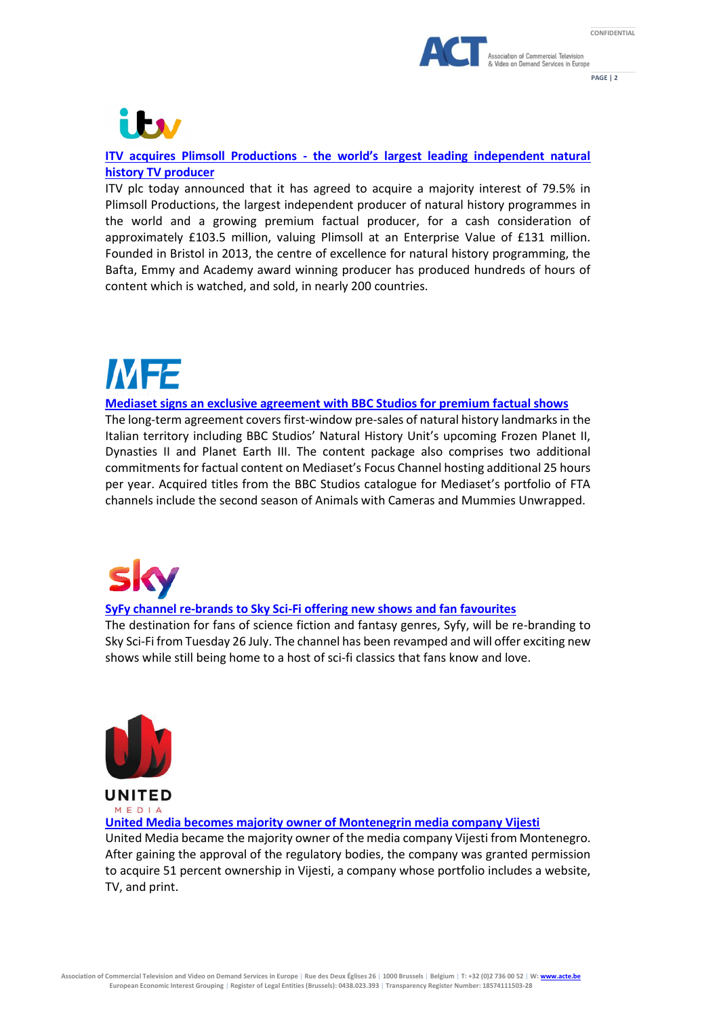



**PAGE | 2**



### **ITV acquires Plimsoll Productions - [the world's largest leading independent natural](https://www.itv.com/presscentre/press-releases/itv-acquires-plimsoll-productions-worlds-largest-leading-independent-natural-history)  [history TV producer](https://www.itv.com/presscentre/press-releases/itv-acquires-plimsoll-productions-worlds-largest-leading-independent-natural-history)**

ITV plc today announced that it has agreed to acquire a majority interest of 79.5% in Plimsoll Productions, the largest independent producer of natural history programmes in the world and a growing premium factual producer, for a cash consideration of approximately £103.5 million, valuing Plimsoll at an Enterprise Value of £131 million. Founded in Bristol in 2013, the centre of excellence for natural history programming, the Bafta, Emmy and Academy award winning producer has produced hundreds of hours of content which is watched, and sold, in nearly 200 countries.

# **MF2**

### **[Mediaset signs an exclusive agreement with BBC Studios for premium factual shows](https://www.tgcom24.mediaset.it/televisione/mediaset-sigla-un-accordo-esclusivo-con-bbc-studios-acquisiti-25-documentari-top-si-parte-con-dynasties-ii_51377478-202202k.shtml)**

The long-term agreement covers first-window pre-sales of natural history landmarks in the Italian territory including BBC Studios' Natural History Unit's upcoming Frozen Planet II, Dynasties II and Planet Earth III. The content package also comprises two additional commitments for factual content on Mediaset's Focus Channel hosting additional 25 hours per year. Acquired titles from the BBC Studios catalogue for Mediaset's portfolio of FTA channels include the second season of Animals with Cameras and Mummies Unwrapped.

### **[SyFy channel re-brands to Sky Sci-Fi offering new shows and fan favourites](https://www.skygroup.sky/en-gb/article/syfy-channel-re-brands-to-sky-sci-fi-offering-new-shows-and-fan-favourites)**

The destination for fans of science fiction and fantasy genres, Syfy, will be re-branding to Sky Sci-Fi from Tuesday 26 July. The channel has been revamped and will offer exciting new shows while still being home to a host of sci-fi classics that fans know and love.



**UNITED** MEDIA

**[United Media becomes majority owner of Montenegrin media company Vijesti](http://www.unitedmedia.net/united-media-becomes-majority-owner-of-montenegrin-media-company-vijesti/)**

United Media became the majority owner of the media company Vijesti from Montenegro. After gaining the approval of the regulatory bodies, the company was granted permission to acquire 51 percent ownership in Vijesti, a company whose portfolio includes a website, TV, and print.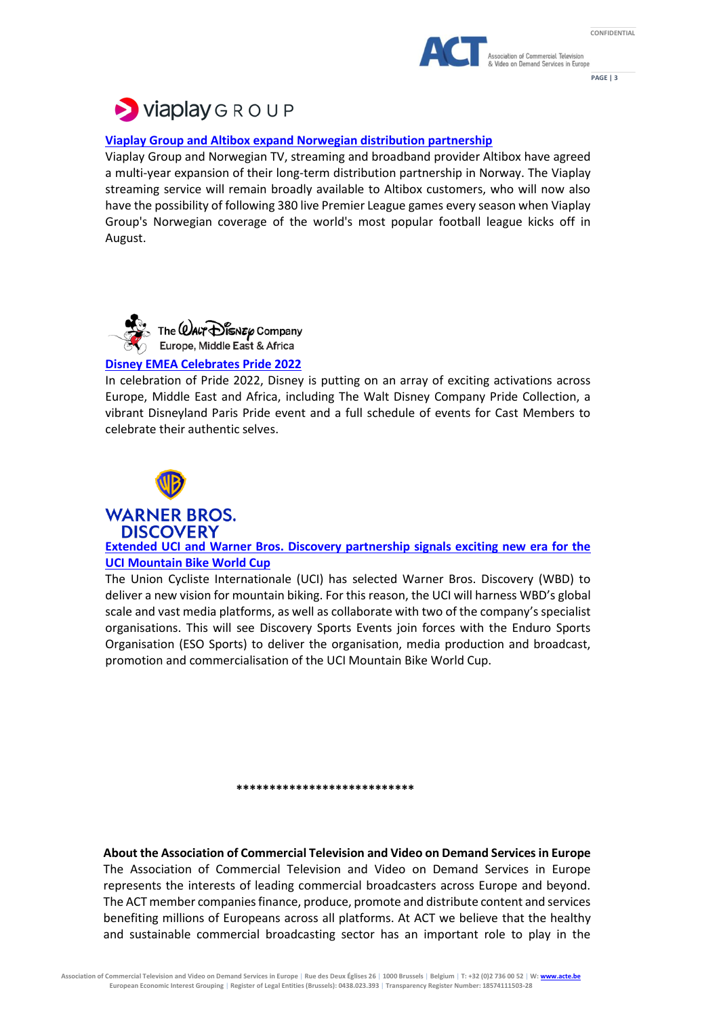



**PAGE | 3**



### **[Viaplay Group and Altibox expand Norwegian distribution partnership](https://www.viaplaygroup.com/news/news-releases/viaplay-group-and-altibox-expand-norwegian-distribution-partnership-2027418)**

Viaplay Group and Norwegian TV, streaming and broadband provider Altibox have agreed a multi-year expansion of their long-term distribution partnership in Norway. The Viaplay streaming service will remain broadly available to Altibox customers, who will now also have the possibility of following 380 live Premier League games every season when Viaplay Group's Norwegian coverage of the world's most popular football league kicks off in August.



### **[Disney EMEA Celebrates Pride 2022](https://thewaltdisneycompany.eu/disney-emea-celebrates-pride-2022/)**

In celebration of Pride 2022, Disney is putting on an array of exciting activations across Europe, Middle East and Africa, including The Walt Disney Company Pride Collection, a vibrant Disneyland Paris Pride event and a full schedule of events for Cast Members to celebrate their authentic selves.



**WARNER BROS. DISCOVERY** 

**[Extended UCI and Warner Bros. Discovery partnership signals exciting new era for the](https://media.discoverysports.com/post/extended-uci-and-warner-bros-discovery-partnership-signals-excit)  [UCI Mountain Bike World Cup](https://media.discoverysports.com/post/extended-uci-and-warner-bros-discovery-partnership-signals-excit)**

The Union Cycliste Internationale (UCI) has selected Warner Bros. Discovery (WBD) to deliver a new vision for mountain biking. For this reason, the UCI will harness WBD's global scale and vast media platforms, as well as collaborate with two of the company's specialist organisations. This will see Discovery Sports Events join forces with the Enduro Sports Organisation (ESO Sports) to deliver the organisation, media production and broadcast, promotion and commercialisation of the UCI Mountain Bike World Cup.

**\*\*\*\*\*\*\*\*\*\*\*\*\*\*\*\*\*\*\*\*\*\*\*\*\*\*\***

### **About the Association of Commercial Television and Video on Demand Servicesin Europe** The Association of Commercial Television and Video on Demand Services in Europe represents the interests of leading commercial broadcasters across Europe and beyond. The ACT member companies finance, produce, promote and distribute content and services benefiting millions of Europeans across all platforms. At ACT we believe that the healthy and sustainable commercial broadcasting sector has an important role to play in the